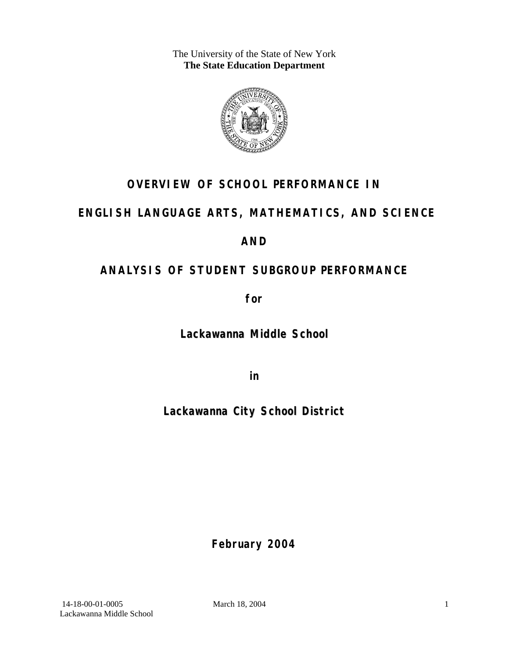The University of the State of New York **The State Education Department** 



# **OVERVIEW OF SCHOOL PERFORMANCE IN**

# **ENGLISH LANGUAGE ARTS, MATHEMATICS, AND SCIENCE**

## **AND**

# **ANALYSIS OF STUDENT SUBGROUP PERFORMANCE**

**for** 

**Lackawanna Middle School**

**in** 

**Lackawanna City School District**

**February 2004**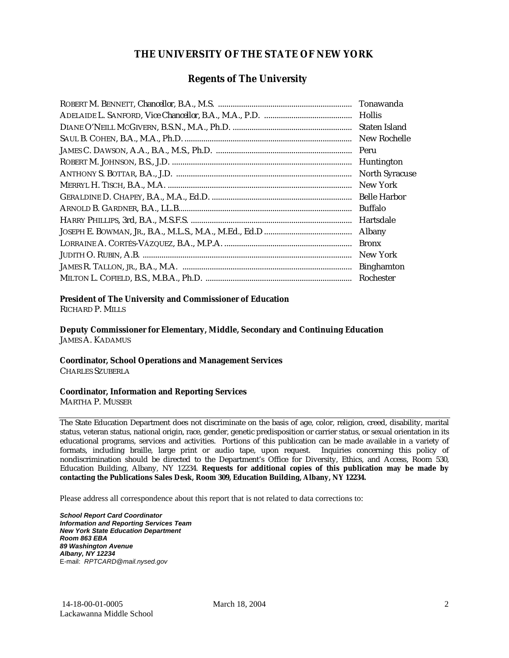#### **THE UNIVERSITY OF THE STATE OF NEW YORK**

#### **Regents of The University**

| Tonawanda             |
|-----------------------|
| <b>Hollis</b>         |
| Staten Island         |
| New Rochelle          |
| Peru                  |
| Huntington            |
| <b>North Syracuse</b> |
| New York              |
| <b>Belle Harbor</b>   |
| Buffalo               |
| Hartsdale             |
| Albany                |
| <b>Bronx</b>          |
| New York              |
| <b>Binghamton</b>     |
| Rochester             |

#### **President of The University and Commissioner of Education**

RICHARD P. MILLS

**Deputy Commissioner for Elementary, Middle, Secondary and Continuing Education**  JAMES A. KADAMUS

#### **Coordinator, School Operations and Management Services**

CHARLES SZUBERLA

#### **Coordinator, Information and Reporting Services**

MARTHA P. MUSSER

The State Education Department does not discriminate on the basis of age, color, religion, creed, disability, marital status, veteran status, national origin, race, gender, genetic predisposition or carrier status, or sexual orientation in its educational programs, services and activities. Portions of this publication can be made available in a variety of formats, including braille, large print or audio tape, upon request. Inquiries concerning this policy of nondiscrimination should be directed to the Department's Office for Diversity, Ethics, and Access, Room 530, Education Building, Albany, NY 12234. **Requests for additional copies of this publication may be made by contacting the Publications Sales Desk, Room 309, Education Building, Albany, NY 12234.** 

Please address all correspondence about this report that is not related to data corrections to:

*School Report Card Coordinator Information and Reporting Services Team New York State Education Department Room 863 EBA 89 Washington Avenue Albany, NY 12234*  E-mail: *RPTCARD@mail.nysed.gov*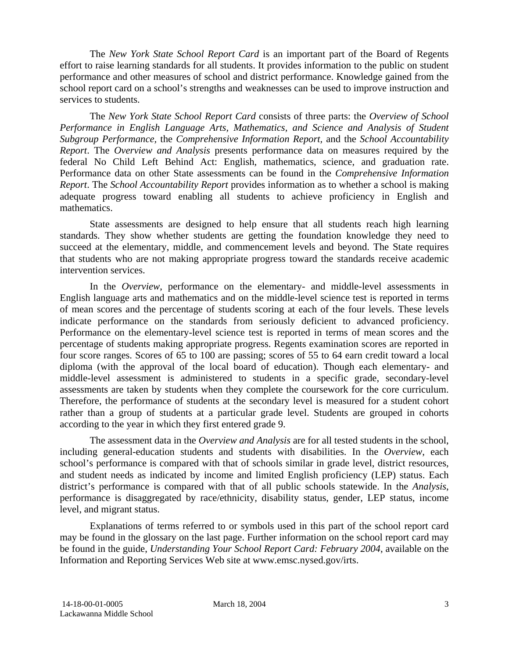The *New York State School Report Card* is an important part of the Board of Regents effort to raise learning standards for all students. It provides information to the public on student performance and other measures of school and district performance. Knowledge gained from the school report card on a school's strengths and weaknesses can be used to improve instruction and services to students.

The *New York State School Report Card* consists of three parts: the *Overview of School Performance in English Language Arts, Mathematics, and Science and Analysis of Student Subgroup Performance,* the *Comprehensive Information Report,* and the *School Accountability Report*. The *Overview and Analysis* presents performance data on measures required by the federal No Child Left Behind Act: English, mathematics, science, and graduation rate. Performance data on other State assessments can be found in the *Comprehensive Information Report*. The *School Accountability Report* provides information as to whether a school is making adequate progress toward enabling all students to achieve proficiency in English and mathematics.

State assessments are designed to help ensure that all students reach high learning standards. They show whether students are getting the foundation knowledge they need to succeed at the elementary, middle, and commencement levels and beyond. The State requires that students who are not making appropriate progress toward the standards receive academic intervention services.

In the *Overview*, performance on the elementary- and middle-level assessments in English language arts and mathematics and on the middle-level science test is reported in terms of mean scores and the percentage of students scoring at each of the four levels. These levels indicate performance on the standards from seriously deficient to advanced proficiency. Performance on the elementary-level science test is reported in terms of mean scores and the percentage of students making appropriate progress. Regents examination scores are reported in four score ranges. Scores of 65 to 100 are passing; scores of 55 to 64 earn credit toward a local diploma (with the approval of the local board of education). Though each elementary- and middle-level assessment is administered to students in a specific grade, secondary-level assessments are taken by students when they complete the coursework for the core curriculum. Therefore, the performance of students at the secondary level is measured for a student cohort rather than a group of students at a particular grade level. Students are grouped in cohorts according to the year in which they first entered grade 9.

The assessment data in the *Overview and Analysis* are for all tested students in the school, including general-education students and students with disabilities. In the *Overview*, each school's performance is compared with that of schools similar in grade level, district resources, and student needs as indicated by income and limited English proficiency (LEP) status. Each district's performance is compared with that of all public schools statewide. In the *Analysis*, performance is disaggregated by race/ethnicity, disability status, gender, LEP status, income level, and migrant status.

Explanations of terms referred to or symbols used in this part of the school report card may be found in the glossary on the last page. Further information on the school report card may be found in the guide, *Understanding Your School Report Card: February 2004*, available on the Information and Reporting Services Web site at www.emsc.nysed.gov/irts.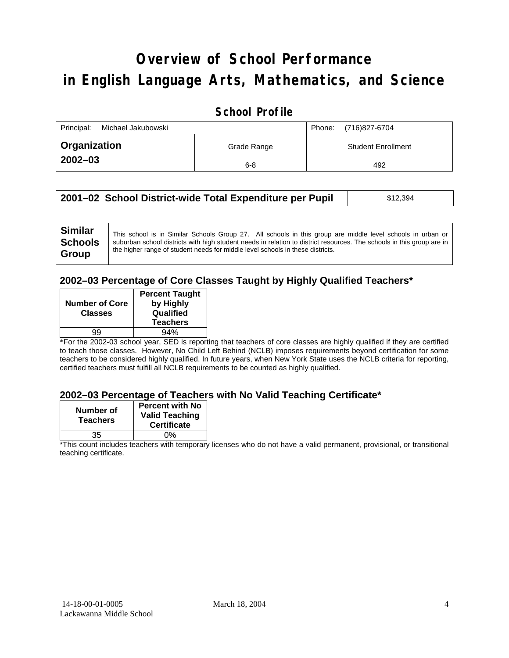# **Overview of School Performance in English Language Arts, Mathematics, and Science**

### **School Profile**

| Principal:<br>Michael Jakubowski |             | (716)827-6704<br>Phone:   |
|----------------------------------|-------------|---------------------------|
| <b>Organization</b>              | Grade Range | <b>Student Enrollment</b> |
| $2002 - 03$                      | $6 - 8$     | 492                       |

| 2001–02 School District-wide Total Expenditure per Pupil | \$12,394 |
|----------------------------------------------------------|----------|
|----------------------------------------------------------|----------|

#### **2002–03 Percentage of Core Classes Taught by Highly Qualified Teachers\***

| <b>Number of Core</b><br><b>Classes</b> | <b>Percent Taught</b><br>by Highly<br>Qualified<br><b>Teachers</b> |
|-----------------------------------------|--------------------------------------------------------------------|
| gg                                      | 94%                                                                |
|                                         |                                                                    |

\*For the 2002-03 school year, SED is reporting that teachers of core classes are highly qualified if they are certified to teach those classes. However, No Child Left Behind (NCLB) imposes requirements beyond certification for some teachers to be considered highly qualified. In future years, when New York State uses the NCLB criteria for reporting, certified teachers must fulfill all NCLB requirements to be counted as highly qualified.

#### **2002–03 Percentage of Teachers with No Valid Teaching Certificate\***

| Number of<br><b>Teachers</b> | <b>Percent with No</b><br><b>Valid Teaching</b><br><b>Certificate</b> |
|------------------------------|-----------------------------------------------------------------------|
| 35                           | ሰ%                                                                    |

\*This count includes teachers with temporary licenses who do not have a valid permanent, provisional, or transitional teaching certificate.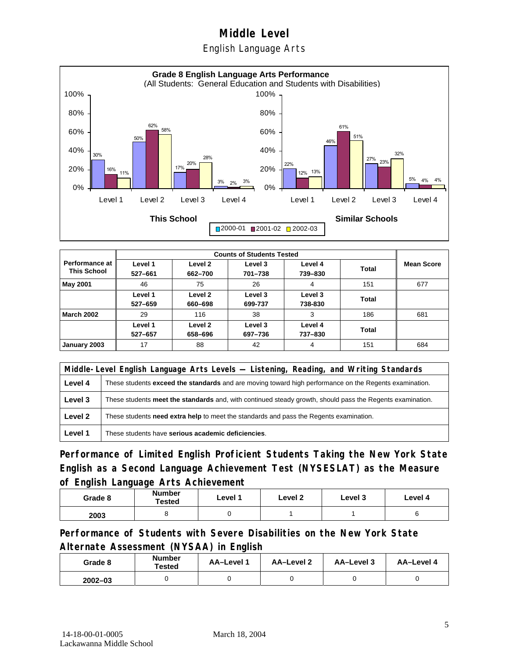### English Language Arts



| Performance at I<br><b>This School</b> | Level 1<br>527-661 | Level 2<br>662-700 | Level 3<br>701-738 | Level 4<br>739-830 | <b>Total</b> | <b>Mean Score</b> |
|----------------------------------------|--------------------|--------------------|--------------------|--------------------|--------------|-------------------|
| May 2001                               | 46                 | 75                 | 26                 | 4                  | 151          | 677               |
|                                        | Level 1<br>527-659 | Level 2<br>660-698 | Level 3<br>699-737 | Level 3<br>738-830 | Total        |                   |
| <b>March 2002</b>                      | 29                 | 116                | 38                 | 3                  | 186          | 681               |
|                                        | Level 1<br>527-657 | Level 2<br>658-696 | Level 3<br>697-736 | Level 4<br>737-830 | Total        |                   |
| January 2003                           | 17                 | 88                 | 42                 | 4                  | 151          | 684               |

|         | Middle-Level English Language Arts Levels — Listening, Reading, and Writing Standards                         |  |  |
|---------|---------------------------------------------------------------------------------------------------------------|--|--|
| Level 4 | These students <b>exceed the standards</b> and are moving toward high performance on the Regents examination. |  |  |
| Level 3 | These students meet the standards and, with continued steady growth, should pass the Regents examination.     |  |  |
| Level 2 | These students need extra help to meet the standards and pass the Regents examination.                        |  |  |
| Level 1 | These students have serious academic deficiencies.                                                            |  |  |

**Performance of Limited English Proficient Students Taking the New York State English as a Second Language Achievement Test (NYSESLAT) as the Measure of English Language Arts Achievement**

| Grade 8 | Number<br>Tested | Level 1 | Level 2 | Level 3 | Level 4 |
|---------|------------------|---------|---------|---------|---------|
| 2003    |                  |         |         |         |         |

**Performance of Students with Severe Disabilities on the New York State Alternate Assessment (NYSAA) in English** 

| Grade 8     | <b>Number</b><br>Tested | AA-Level 1 | AA-Level 2 | AA-Level 3 | AA-Level 4 |
|-------------|-------------------------|------------|------------|------------|------------|
| $2002 - 03$ |                         |            |            |            |            |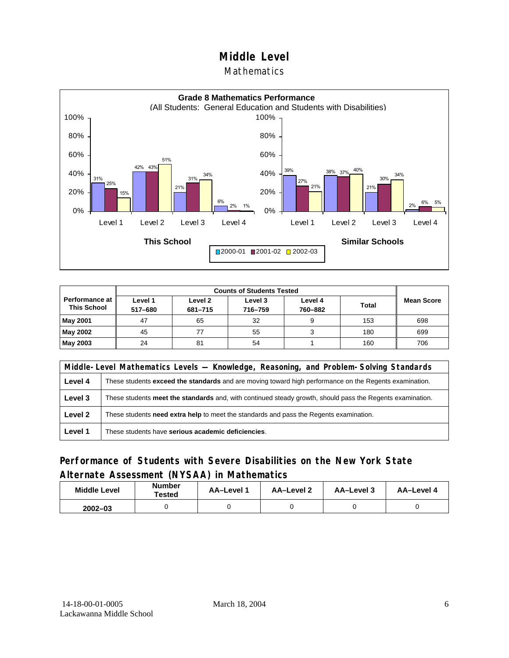#### Mathematics



| <b>Counts of Students Tested</b>            |                    |                    |                    |                    |              |                   |
|---------------------------------------------|--------------------|--------------------|--------------------|--------------------|--------------|-------------------|
| <b>Performance at</b><br><b>This School</b> | Level 1<br>517-680 | Level 2<br>681-715 | Level 3<br>716-759 | Level 4<br>760-882 | <b>Total</b> | <b>Mean Score</b> |
| <b>May 2001</b>                             | 47                 | 65                 | 32                 |                    | 153          | 698               |
| May 2002                                    | 45                 |                    | 55                 |                    | 180          | 699               |
| <b>May 2003</b>                             | 24                 | 81                 | 54                 |                    | 160          | 706               |

|         | Middle-Level Mathematics Levels — Knowledge, Reasoning, and Problem-Solving Standards                         |  |  |
|---------|---------------------------------------------------------------------------------------------------------------|--|--|
| Level 4 | These students <b>exceed the standards</b> and are moving toward high performance on the Regents examination. |  |  |
| Level 3 | These students meet the standards and, with continued steady growth, should pass the Regents examination.     |  |  |
| Level 2 | These students <b>need extra help</b> to meet the standards and pass the Regents examination.                 |  |  |
| Level 1 | These students have serious academic deficiencies.                                                            |  |  |

### **Performance of Students with Severe Disabilities on the New York State Alternate Assessment (NYSAA) in Mathematics**

| <b>Middle Level</b> | <b>Number</b><br><b>Tested</b> | AA-Level | AA-Level 2 | AA-Level 3 | AA-Level 4 |  |
|---------------------|--------------------------------|----------|------------|------------|------------|--|
| $2002 - 03$         |                                |          |            |            |            |  |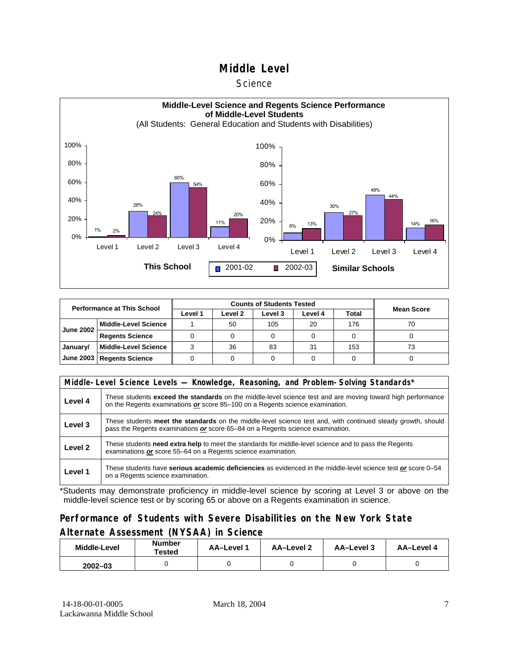#### **Science**



| <b>Performance at This School</b> |                             |         | <b>Mean Score</b> |         |         |       |    |
|-----------------------------------|-----------------------------|---------|-------------------|---------|---------|-------|----|
|                                   |                             | Level 1 | Level 2           | Level 3 | Level 4 | Total |    |
| <b>June 2002</b>                  | <b>Middle-Level Science</b> |         | 50                | 105     | 20      | 176   | 70 |
|                                   | <b>Regents Science</b>      |         |                   |         |         |       |    |
| January/                          | <b>Middle-Level Science</b> |         | 36                | 83      | 31      | 153   | 73 |
|                                   | June 2003   Regents Science |         |                   |         |         |       |    |

|         | Middle-Level Science Levels — Knowledge, Reasoning, and Problem-Solving Standards*                                                                                                                  |  |  |  |  |  |  |  |
|---------|-----------------------------------------------------------------------------------------------------------------------------------------------------------------------------------------------------|--|--|--|--|--|--|--|
| Level 4 | These students <b>exceed the standards</b> on the middle-level science test and are moving toward high performance<br>on the Regents examinations or score 85-100 on a Regents science examination. |  |  |  |  |  |  |  |
| Level 3 | These students meet the standards on the middle-level science test and, with continued steady growth, should<br>pass the Regents examinations or score 65-84 on a Regents science examination.      |  |  |  |  |  |  |  |
| Level 2 | These students need extra help to meet the standards for middle-level science and to pass the Regents<br>examinations or score 55-64 on a Regents science examination.                              |  |  |  |  |  |  |  |
| Level 1 | These students have serious academic deficiencies as evidenced in the middle-level science test or score 0–54<br>on a Regents science examination.                                                  |  |  |  |  |  |  |  |

\*Students may demonstrate proficiency in middle-level science by scoring at Level 3 or above on the middle-level science test or by scoring 65 or above on a Regents examination in science.

### **Performance of Students with Severe Disabilities on the New York State Alternate Assessment (NYSAA) in Science**

| Middle-Level | <b>Number</b><br>Tested | AA-Level 1 | AA-Level 2 | AA-Level 3 | AA-Level 4 |  |
|--------------|-------------------------|------------|------------|------------|------------|--|
| $2002 - 03$  |                         |            |            |            |            |  |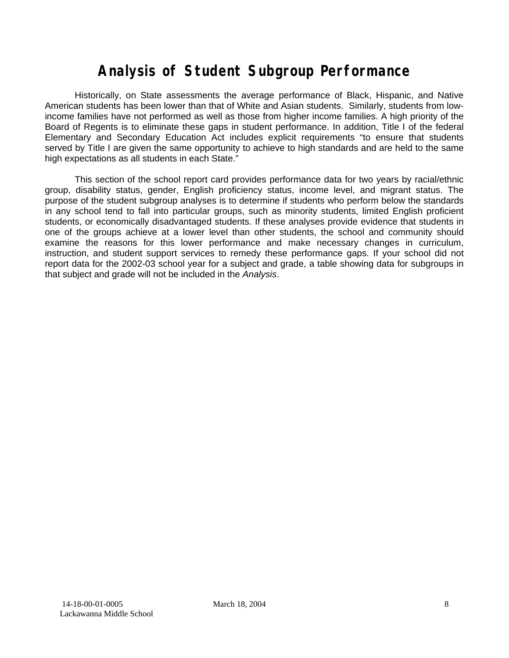# **Analysis of Student Subgroup Performance**

Historically, on State assessments the average performance of Black, Hispanic, and Native American students has been lower than that of White and Asian students. Similarly, students from lowincome families have not performed as well as those from higher income families. A high priority of the Board of Regents is to eliminate these gaps in student performance. In addition, Title I of the federal Elementary and Secondary Education Act includes explicit requirements "to ensure that students served by Title I are given the same opportunity to achieve to high standards and are held to the same high expectations as all students in each State."

This section of the school report card provides performance data for two years by racial/ethnic group, disability status, gender, English proficiency status, income level, and migrant status. The purpose of the student subgroup analyses is to determine if students who perform below the standards in any school tend to fall into particular groups, such as minority students, limited English proficient students, or economically disadvantaged students. If these analyses provide evidence that students in one of the groups achieve at a lower level than other students, the school and community should examine the reasons for this lower performance and make necessary changes in curriculum, instruction, and student support services to remedy these performance gaps. If your school did not report data for the 2002-03 school year for a subject and grade, a table showing data for subgroups in that subject and grade will not be included in the *Analysis*.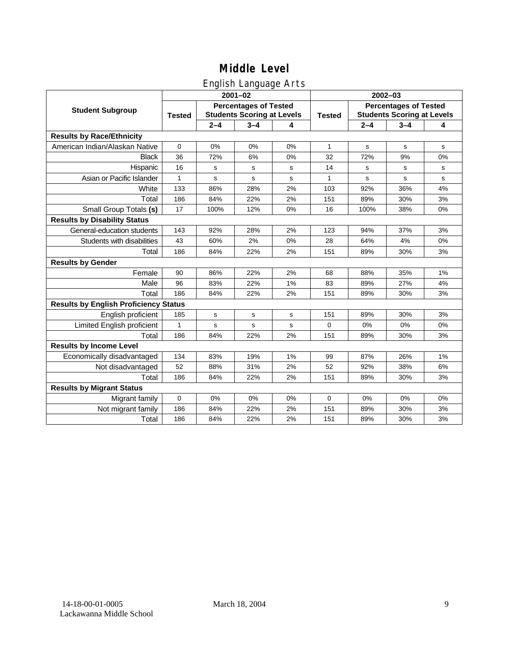### English Language Arts

|                                              |               |                                                                   | ັ<br>$2001 - 02$ |    | 2002-03       |                                                                   |             |             |  |
|----------------------------------------------|---------------|-------------------------------------------------------------------|------------------|----|---------------|-------------------------------------------------------------------|-------------|-------------|--|
| <b>Student Subgroup</b>                      | <b>Tested</b> | <b>Percentages of Tested</b><br><b>Students Scoring at Levels</b> |                  |    | <b>Tested</b> | <b>Percentages of Tested</b><br><b>Students Scoring at Levels</b> |             |             |  |
|                                              |               | $2 - 4$                                                           | $3 - 4$          | 4  |               | $2 - 4$                                                           | $3 - 4$     | 4           |  |
| <b>Results by Race/Ethnicity</b>             |               |                                                                   |                  |    |               |                                                                   |             |             |  |
| American Indian/Alaskan Native               | $\mathbf 0$   | 0%                                                                | 0%               | 0% | $\mathbf{1}$  | s                                                                 | $\mathbf s$ | $\mathbf s$ |  |
| <b>Black</b>                                 | 36            | 72%                                                               | 6%               | 0% | 32            | 72%                                                               | 9%          | 0%          |  |
| Hispanic                                     | 16            | s                                                                 | s                | s  | 14            | s                                                                 | s           | s           |  |
| Asian or Pacific Islander                    | 1             | s                                                                 | $\mathbf s$      | s  | $\mathbf{1}$  | s                                                                 | s           | s           |  |
| White                                        | 133           | 86%                                                               | 28%              | 2% | 103           | 92%                                                               | 36%         | 4%          |  |
| Total                                        | 186           | 84%                                                               | 22%              | 2% | 151           | 89%                                                               | 30%         | 3%          |  |
| Small Group Totals (s)                       | 17            | 100%                                                              | 12%              | 0% | 16            | 100%                                                              | 38%         | 0%          |  |
| <b>Results by Disability Status</b>          |               |                                                                   |                  |    |               |                                                                   |             |             |  |
| General-education students                   | 143           | 92%                                                               | 28%              | 2% | 123           | 94%                                                               | 37%         | 3%          |  |
| Students with disabilities                   | 43            | 60%                                                               | 2%               | 0% | 28            | 64%                                                               | 4%          | $0\%$       |  |
| Total                                        | 186           | 84%                                                               | 22%              | 2% | 151           | 89%                                                               | 30%         | 3%          |  |
| <b>Results by Gender</b>                     |               |                                                                   |                  |    |               |                                                                   |             |             |  |
| Female                                       | 90            | 86%                                                               | 22%              | 2% | 68            | 88%                                                               | 35%         | 1%          |  |
| Male                                         | 96            | 83%                                                               | 22%              | 1% | 83            | 89%                                                               | 27%         | 4%          |  |
| Total                                        | 186           | 84%                                                               | 22%              | 2% | 151           | 89%                                                               | 30%         | 3%          |  |
| <b>Results by English Proficiency Status</b> |               |                                                                   |                  |    |               |                                                                   |             |             |  |
| English proficient                           | 185           | $\mathbf s$                                                       | s                | s  | 151           | 89%                                                               | 30%         | 3%          |  |
| Limited English proficient                   | $\mathbf{1}$  | $\mathbf s$                                                       | $\mathbf s$      | s  | 0             | 0%                                                                | 0%          | 0%          |  |
| Total                                        | 186           | 84%                                                               | 22%              | 2% | 151           | 89%                                                               | 30%         | 3%          |  |
| <b>Results by Income Level</b>               |               |                                                                   |                  |    |               |                                                                   |             |             |  |
| Economically disadvantaged                   | 134           | 83%                                                               | 19%              | 1% | 99            | 87%                                                               | 26%         | 1%          |  |
| Not disadvantaged                            | 52            | 88%                                                               | 31%              | 2% | 52            | 92%                                                               | 38%         | 6%          |  |
| Total                                        | 186           | 84%                                                               | 22%              | 2% | 151           | 89%                                                               | 30%         | 3%          |  |
| <b>Results by Migrant Status</b>             |               |                                                                   |                  |    |               |                                                                   |             |             |  |
| Migrant family                               | $\mathbf 0$   | 0%                                                                | 0%               | 0% | 0             | 0%                                                                | 0%          | 0%          |  |
| Not migrant family                           | 186           | 84%                                                               | 22%              | 2% | 151           | 89%                                                               | 30%         | 3%          |  |
| Total                                        | 186           | 84%                                                               | 22%              | 2% | 151           | 89%                                                               | 30%         | 3%          |  |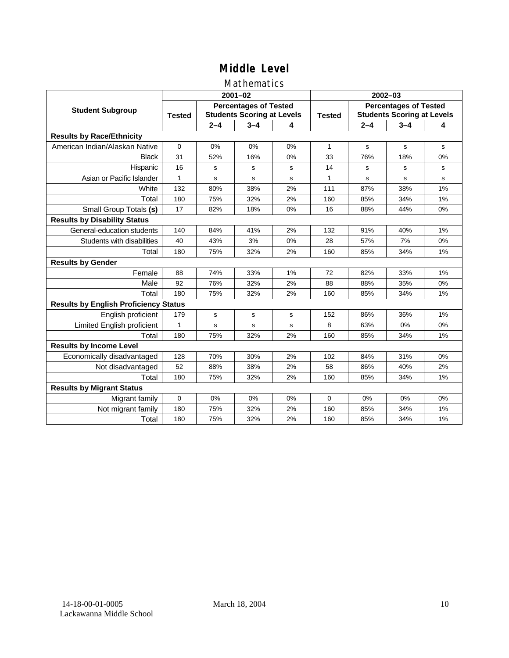### Mathematics

|                                              |               |             | $2001 - 02$                                                       |    | $2002 - 03$   |                                                                   |         |    |  |
|----------------------------------------------|---------------|-------------|-------------------------------------------------------------------|----|---------------|-------------------------------------------------------------------|---------|----|--|
| <b>Student Subgroup</b>                      | <b>Tested</b> |             | <b>Percentages of Tested</b><br><b>Students Scoring at Levels</b> |    | <b>Tested</b> | <b>Percentages of Tested</b><br><b>Students Scoring at Levels</b> |         |    |  |
|                                              |               | $2 - 4$     | $3 - 4$                                                           | 4  |               | $2 - 4$                                                           | $3 - 4$ | 4  |  |
| <b>Results by Race/Ethnicity</b>             |               |             |                                                                   |    |               |                                                                   |         |    |  |
| American Indian/Alaskan Native               | $\Omega$      | 0%          | 0%                                                                | 0% | $\mathbf{1}$  | s                                                                 | s       | s  |  |
| <b>Black</b>                                 | 31            | 52%         | 16%                                                               | 0% | 33            | 76%                                                               | 18%     | 0% |  |
| Hispanic                                     | 16            | s           | s                                                                 | s  | 14            | s                                                                 | s       | s  |  |
| Asian or Pacific Islander                    | 1             | s           | s                                                                 | s  | 1             | s                                                                 | s       | s  |  |
| White                                        | 132           | 80%         | 38%                                                               | 2% | 111           | 87%                                                               | 38%     | 1% |  |
| Total                                        | 180           | 75%         | 32%                                                               | 2% | 160           | 85%                                                               | 34%     | 1% |  |
| Small Group Totals (s)                       | 17            | 82%         | 18%                                                               | 0% | 16            | 88%                                                               | 44%     | 0% |  |
| <b>Results by Disability Status</b>          |               |             |                                                                   |    |               |                                                                   |         |    |  |
| General-education students                   | 140           | 84%         | 41%                                                               | 2% | 132           | 91%                                                               | 40%     | 1% |  |
| Students with disabilities                   | 40            | 43%         | 3%                                                                | 0% | 28            | 57%                                                               | 7%      | 0% |  |
| Total                                        | 180           | 75%         | 32%                                                               | 2% | 160           | 85%                                                               | 34%     | 1% |  |
| <b>Results by Gender</b>                     |               |             |                                                                   |    |               |                                                                   |         |    |  |
| Female                                       | 88            | 74%         | 33%                                                               | 1% | 72            | 82%                                                               | 33%     | 1% |  |
| Male                                         | 92            | 76%         | 32%                                                               | 2% | 88            | 88%                                                               | 35%     | 0% |  |
| Total                                        | 180           | 75%         | 32%                                                               | 2% | 160           | 85%                                                               | 34%     | 1% |  |
| <b>Results by English Proficiency Status</b> |               |             |                                                                   |    |               |                                                                   |         |    |  |
| English proficient                           | 179           | $\mathbf s$ | s                                                                 | s  | 152           | 86%                                                               | 36%     | 1% |  |
| Limited English proficient                   | 1             | s           | s                                                                 | s  | 8             | 63%                                                               | 0%      | 0% |  |
| Total                                        | 180           | 75%         | 32%                                                               | 2% | 160           | 85%                                                               | 34%     | 1% |  |
| <b>Results by Income Level</b>               |               |             |                                                                   |    |               |                                                                   |         |    |  |
| Economically disadvantaged                   | 128           | 70%         | 30%                                                               | 2% | 102           | 84%                                                               | 31%     | 0% |  |
| Not disadvantaged                            | 52            | 88%         | 38%                                                               | 2% | 58            | 86%                                                               | 40%     | 2% |  |
| Total                                        | 180           | 75%         | 32%                                                               | 2% | 160           | 85%                                                               | 34%     | 1% |  |
| <b>Results by Migrant Status</b>             |               |             |                                                                   |    |               |                                                                   |         |    |  |
| Migrant family                               | 0             | 0%          | 0%                                                                | 0% | $\Omega$      | 0%                                                                | 0%      | 0% |  |
| Not migrant family                           | 180           | 75%         | 32%                                                               | 2% | 160           | 85%                                                               | 34%     | 1% |  |
| Total                                        | 180           | 75%         | 32%                                                               | 2% | 160           | 85%                                                               | 34%     | 1% |  |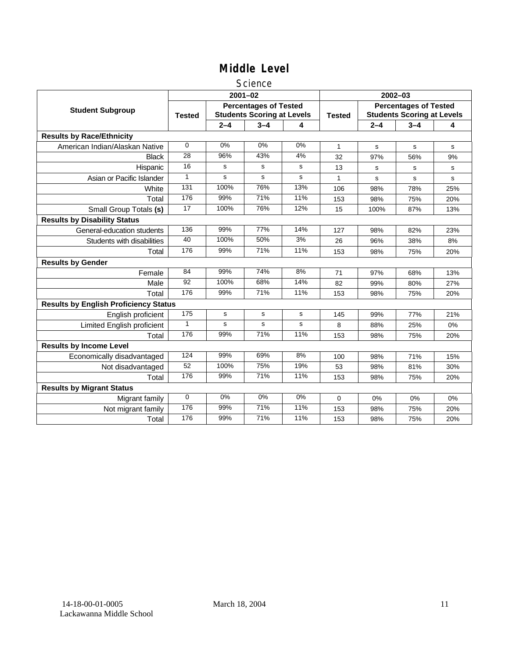#### Science

|                                              |                 |         | $2001 - 02$                                                       |             | $2002 - 03$   |                                                                   |         |     |
|----------------------------------------------|-----------------|---------|-------------------------------------------------------------------|-------------|---------------|-------------------------------------------------------------------|---------|-----|
| <b>Student Subgroup</b>                      | <b>Tested</b>   |         | <b>Percentages of Tested</b><br><b>Students Scoring at Levels</b> |             | <b>Tested</b> | <b>Percentages of Tested</b><br><b>Students Scoring at Levels</b> |         |     |
|                                              |                 | $2 - 4$ | $3 - 4$                                                           | 4           |               | $2 - 4$                                                           | $3 - 4$ | 4   |
| <b>Results by Race/Ethnicity</b>             |                 |         |                                                                   |             |               |                                                                   |         |     |
| American Indian/Alaskan Native               | $\Omega$        | 0%      | 0%                                                                | 0%          | $\mathbf{1}$  | s                                                                 | s       | s   |
| <b>Black</b>                                 | 28              | 96%     | 43%                                                               | 4%          | 32            | 97%                                                               | 56%     | 9%  |
| Hispanic                                     | 16              | s       | s                                                                 | s           | 13            | s                                                                 | s       | s   |
| Asian or Pacific Islander                    | $\mathbf{1}$    | s       | s                                                                 | s           | $\mathbf{1}$  | s                                                                 | s       | s   |
| White                                        | 131             | 100%    | 76%                                                               | 13%         | 106           | 98%                                                               | 78%     | 25% |
| Total                                        | 176             | 99%     | 71%                                                               | 11%         | 153           | 98%                                                               | 75%     | 20% |
| Small Group Totals (s)                       | $\overline{17}$ | 100%    | 76%                                                               | 12%         | 15            | 100%                                                              | 87%     | 13% |
| <b>Results by Disability Status</b>          |                 |         |                                                                   |             |               |                                                                   |         |     |
| General-education students                   | 136             | 99%     | 77%                                                               | 14%         | 127           | 98%                                                               | 82%     | 23% |
| Students with disabilities                   | 40              | 100%    | 50%                                                               | 3%          | 26            | 96%                                                               | 38%     | 8%  |
| Total                                        | 176             | 99%     | 71%                                                               | 11%         | 153           | 98%                                                               | 75%     | 20% |
| <b>Results by Gender</b>                     |                 |         |                                                                   |             |               |                                                                   |         |     |
| Female                                       | 84              | 99%     | 74%                                                               | 8%          | 71            | 97%                                                               | 68%     | 13% |
| Male                                         | 92              | 100%    | 68%                                                               | 14%         | 82            | 99%                                                               | 80%     | 27% |
| Total                                        | 176             | 99%     | 71%                                                               | 11%         | 153           | 98%                                                               | 75%     | 20% |
| <b>Results by English Proficiency Status</b> |                 |         |                                                                   |             |               |                                                                   |         |     |
| English proficient                           | 175             | s       | $\mathbf s$                                                       | $\mathbf s$ | 145           | 99%                                                               | 77%     | 21% |
| Limited English proficient                   | $\mathbf{1}$    | s       | s                                                                 | s           | 8             | 88%                                                               | 25%     | 0%  |
| Total                                        | 176             | 99%     | 71%                                                               | 11%         | 153           | 98%                                                               | 75%     | 20% |
| <b>Results by Income Level</b>               |                 |         |                                                                   |             |               |                                                                   |         |     |
| Economically disadvantaged                   | 124             | 99%     | 69%                                                               | 8%          | 100           | 98%                                                               | 71%     | 15% |
| Not disadvantaged                            | 52              | 100%    | 75%                                                               | 19%         | 53            | 98%                                                               | 81%     | 30% |
| Total                                        | 176             | 99%     | 71%                                                               | 11%         | 153           | 98%                                                               | 75%     | 20% |
| <b>Results by Migrant Status</b>             |                 |         |                                                                   |             |               |                                                                   |         |     |
| Migrant family                               | $\mathbf 0$     | 0%      | 0%                                                                | 0%          | 0             | 0%                                                                | 0%      | 0%  |
| Not migrant family                           | 176             | 99%     | 71%                                                               | 11%         | 153           | 98%                                                               | 75%     | 20% |
| Total                                        | 176             | 99%     | 71%                                                               | 11%         | 153           | 98%                                                               | 75%     | 20% |